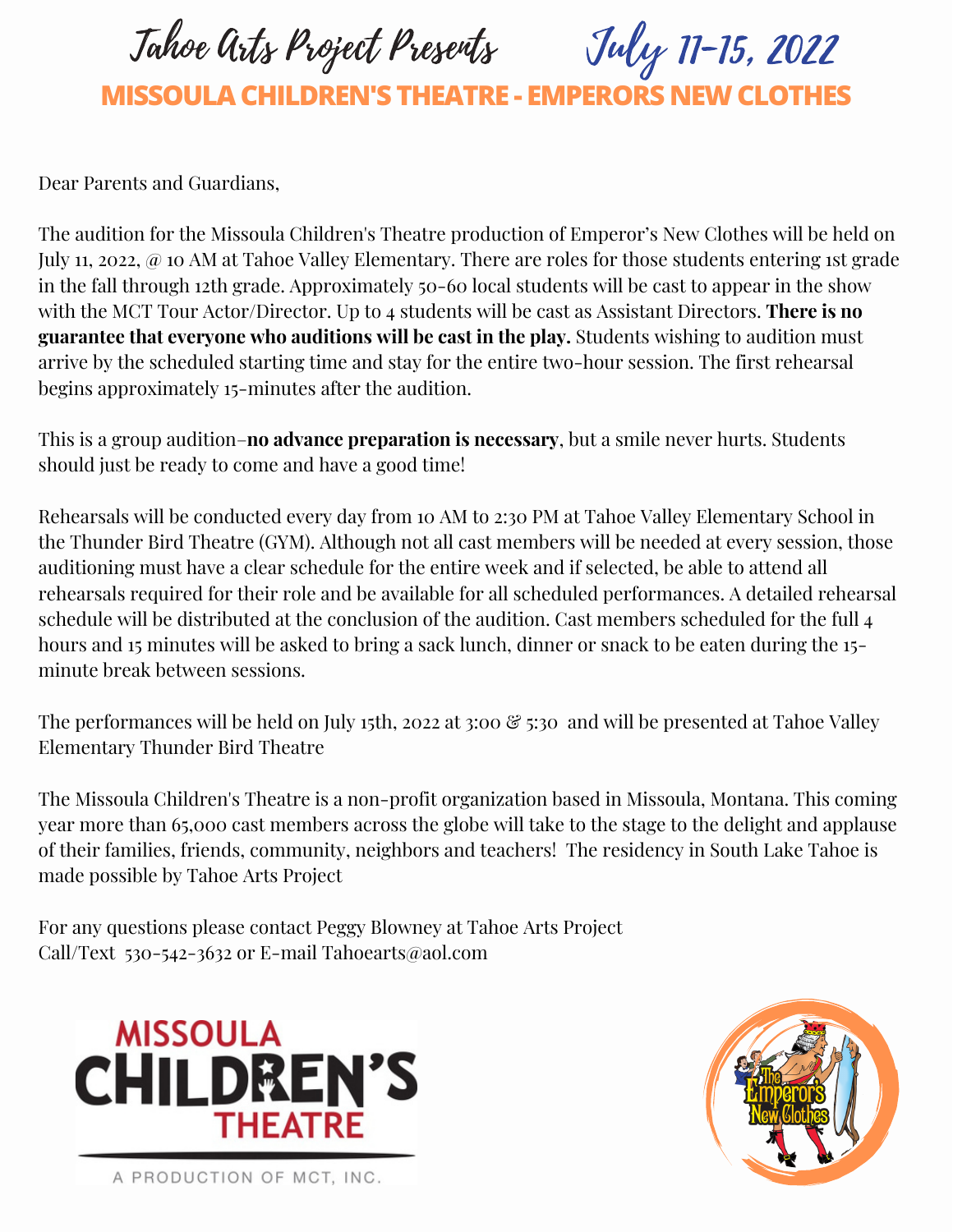Tahoe Arts Project Presents

**MISSOULA CHILDREN'S THEATRE - EMPERORS NEWCLOTHES**

July 11-15, 2022

Dear Parents and Guardians,

The audition for the Missoula Children's Theatre production of Emperor's New Clothes will be held on July 11, 2022, @ 10 AM at Tahoe Valley Elementary. There are roles for those students entering 1st grade in the fall through 12th grade. Approximately 50-60 local students will be cast to appear in the show with the MCT Tour Actor/Director. Up to 4 students will be cast as Assistant Directors. **There is no guarantee that everyone who auditions will be cast in the play.** Students wishing to audition must arrive by the scheduled starting time and stay for the entire two-hour session. The first rehearsal begins approximately 15-minutes after the audition.

This is a group audition–**no advance preparation is necessary**, but a smile never hurts. Students should just be ready to come and have a good time!

Rehearsals will be conducted every day from 10 AM to 2:30 PM at Tahoe Valley Elementary School in the Thunder Bird Theatre (GYM). Although not all cast members will be needed at every session, those auditioning must have a clear schedule for the entire week and if selected, be able to attend all rehearsals required for their role and be available for all scheduled performances. A detailed rehearsal schedule will be distributed at the conclusion of the audition. Cast members scheduled for the full 4 hours and 15 minutes will be asked to bring a sack lunch, dinner or snack to be eaten during the 15minute break between sessions.

The performances will be held on July 15th, 2022 at 3:00 & 5:30 and will be presented at Tahoe Valley Elementary Thunder Bird Theatre

The Missoula Children's Theatre is a non-profit organization based in Missoula, Montana. This coming year more than 65,000 cast members across the globe will take to the stage to the delight and applause of their families, friends, community, neighbors and teachers! The residency in South Lake Tahoe is made possible by Tahoe Arts Project

For any questions please contact Peggy Blowney at Tahoe Arts Project Call/Text 530-542-3632 or E-mail Tahoearts@aol.com





A PRODUCTION OF MCT, INC.